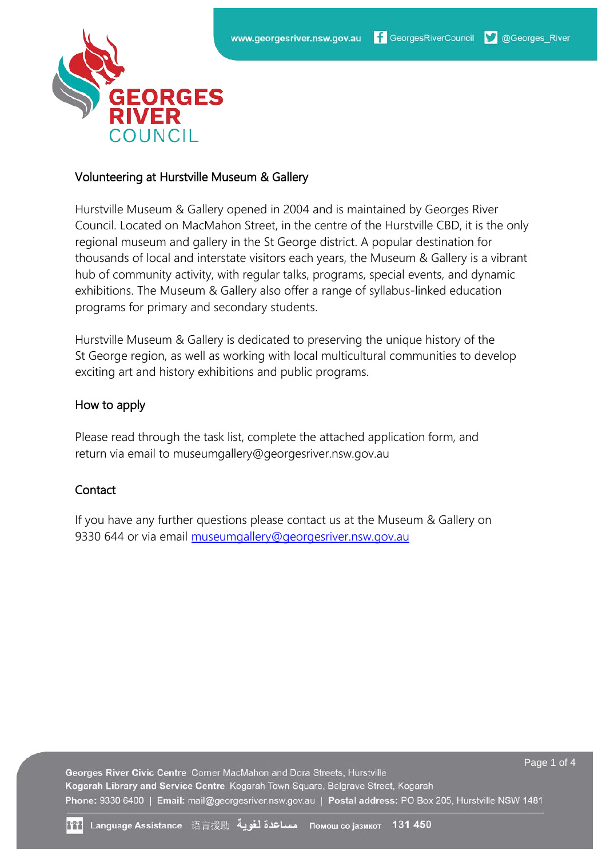

### Volunteering at Hurstville Museum & Gallery

Hurstville Museum & Gallery opened in 2004 and is maintained by Georges River Council. Located on MacMahon Street, in the centre of the Hurstville CBD, it is the only regional museum and gallery in the St George district. A popular destination for thousands of local and interstate visitors each years, the Museum & Gallery is a vibrant hub of community activity, with regular talks, programs, special events, and dynamic exhibitions. The Museum & Gallery also offer a range of syllabus-linked education programs for primary and secondary students.

Hurstville Museum & Gallery is dedicated to preserving the unique history of the St George region, as well as working with local multicultural communities to develop exciting art and history exhibitions and public programs.

### How to apply

Please read through the task list, complete the attached application form, and return via email to museumgallery@georgesriver.nsw.gov.au

### **Contact**

If you have any further questions please contact us at the Museum & Gallery on 9330 644 or via email museumgallery@georgesriver.nsw.gov.au

Page 1 of 4 Georges River Civic Centre Corner MacMahon and Dora Streets, Hurstville Kogarah Library and Service Centre Kogarah Town Square, Belgrave Street, Kogarah Phone: 9330 6400 | Email: mail@georgesriver.nsw.gov.au | Postal address: PO Box 205, Hurstville NSW 1481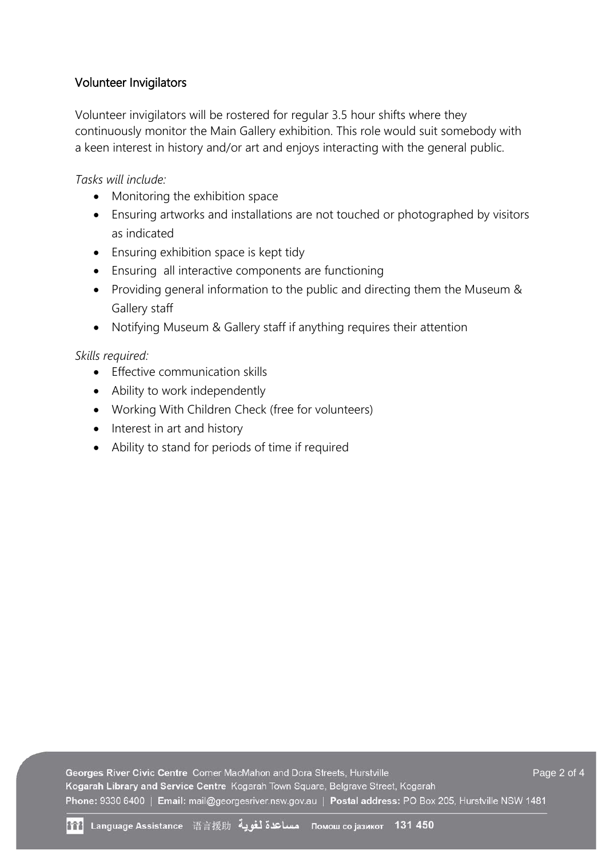## Volunteer Invigilators

Volunteer invigilators will be rostered for regular 3.5 hour shifts where they continuously monitor the Main Gallery exhibition. This role would suit somebody with a keen interest in history and/or art and enjoys interacting with the general public.

*Tasks will include:*

- Monitoring the exhibition space
- Ensuring artworks and installations are not touched or photographed by visitors as indicated
- Ensuring exhibition space is kept tidy
- Ensuring all interactive components are functioning
- Providing general information to the public and directing them the Museum & Gallery staff
- Notifying Museum & Gallery staff if anything requires their attention

*Skills required:*

- Effective communication skills
- Ability to work independently
- Working With Children Check (free for volunteers)
- Interest in art and history
- Ability to stand for periods of time if required

Georges River Civic Centre Corner MacMahon and Dora Streets, Hurstville Page 2 of 4Kogarah Library and Service Centre Kogarah Town Square, Belgrave Street, Kogarah Phone: 9330 6400 | Email: mail@georgesriver.nsw.gov.au | Postal address: PO Box 205, Hurstville NSW 1481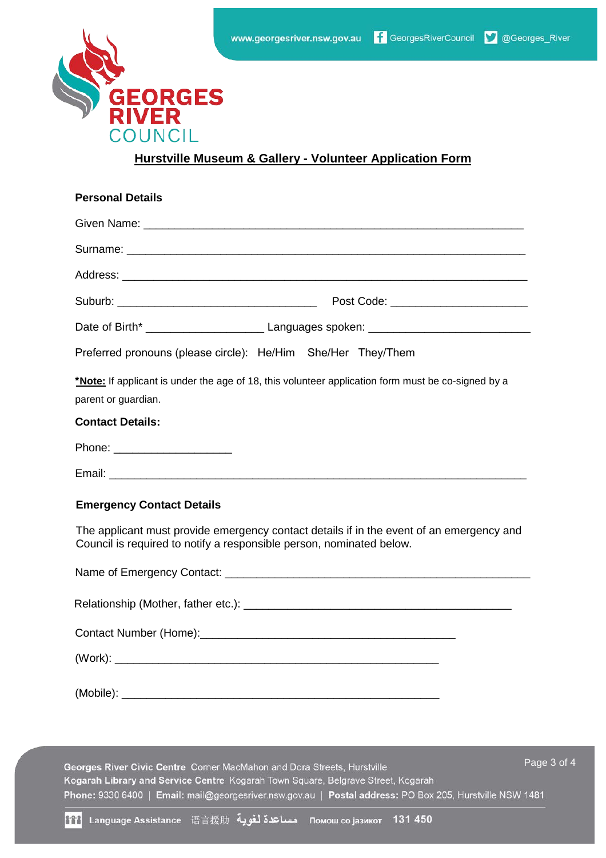

### **Hurstville Museum & Gallery - Volunteer Application Form**

| <b>Personal Details</b>                                                                                                                                          |
|------------------------------------------------------------------------------------------------------------------------------------------------------------------|
|                                                                                                                                                                  |
|                                                                                                                                                                  |
|                                                                                                                                                                  |
|                                                                                                                                                                  |
|                                                                                                                                                                  |
| Preferred pronouns (please circle): He/Him She/Her They/Them                                                                                                     |
| *Note: If applicant is under the age of 18, this volunteer application form must be co-signed by a<br>parent or guardian.                                        |
| <b>Contact Details:</b>                                                                                                                                          |
| Phone: _______________________                                                                                                                                   |
|                                                                                                                                                                  |
| <b>Emergency Contact Details</b>                                                                                                                                 |
| The applicant must provide emergency contact details if in the event of an emergency and<br>Council is required to notify a responsible person, nominated below. |
|                                                                                                                                                                  |
|                                                                                                                                                                  |
|                                                                                                                                                                  |
|                                                                                                                                                                  |
|                                                                                                                                                                  |
|                                                                                                                                                                  |

Page 3 of 4 Georges River Civic Centre Corner MacMahon and Dora Streets, Hurstville Kogarah Library and Service Centre Kogarah Town Square, Belgrave Street, Kogarah Phone: 9330 6400 | Email: mail@georgesriver.nsw.gov.au | Postal address: PO Box 205, Hurstville NSW 1481